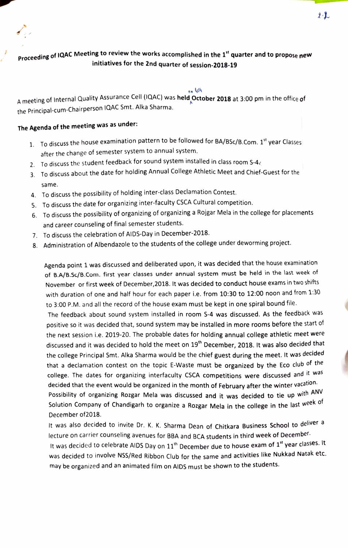

## on yth

A meeting of Internal Quality Assurance Cell (IQAC) was held October 2018 at 3:00 pm in the office of the Principal-cum-Chairperson IQAC Smt. Alka Sharma.

## The Agenda of the meeting was as under:

- 1. To discuss the house examination pattern to be followed for BA/BSc/B. Com. 1<sup>st</sup> year Classes after the change of semester system to annual system.
- 2. To discuss the student feedback for sound system installed in class room S-4 $\zeta$
- 3. To discuss about the date for holding Annual College Athletic Meet and Chief-Guest for the same.
- 4. To discuss the possibility of holding inter-class Declamation Contest.
- 5. To discuss the date for organizing inter-faculty CSCA Cultural competition.
- 6. To discuss the possibility of organizing of organizing a Rojgar Mela in the college for placements and career counseling of final semester students.
- 7. To discuss the celebration of AIDS-Day in December-2018.
- 8. Administration of Albendazole to the students of the college under deworming project.

Agenda point 1 was discussed and deliberated upon, it was decided that the house examination of B.A/B.Sc/B.Com. first year classes under annual system must be held in the last week of November or first week of December,2018. It was decided to conduct house exams in two shifts with duration of one and half hour for each paper i.e. from 10:30 to 12:00 noon and from 1:30 to 3:00 P.M. and all the record of the house exam must be kept in one spiral bound file.

The feedback about sound system installed in room S-4 was discussed. As the feedback was positive so it was decided that, sound system may be installed in more rooms before the start of the next session i.e. 2019-20. The probable dates for holding annual college athletic meet were discussed and it was decided to hold the meet on 19<sup>th</sup> December, 2018. It was also decided that the college Principal Smt. Alka Sharma would be the chief guest during the meet. It was decided that a declamation contest on the topic E-Waste must be organized by the Eco club of the college. The dates for organizing interfaculty CSCA competitions were discussed and it was decided that the event would be organized in the month of February after the winter vacation. Possibility of organizing Rozgar Mela was discussed and it was decided to tie up with ANV Solution Company of Chandigarh to organize a Rozgar Mela in the college in the last week of

December of2018.

It was also decided to invite Dr. K. K. Sharma Dean of Chitkara Business School to deliver a lecture on carrier counseling avenues for BBA and BCA students in third week of December. It was decided to celebrate AIDS Day on  $11<sup>th</sup>$  December due to house exam of  $1<sup>st</sup>$  year classes. It was decided to involve NSS/Red Ribbon Club for the same and activities like Nukkad Natak etc. may be organized and an animated film on AIDS must be shown to the students.